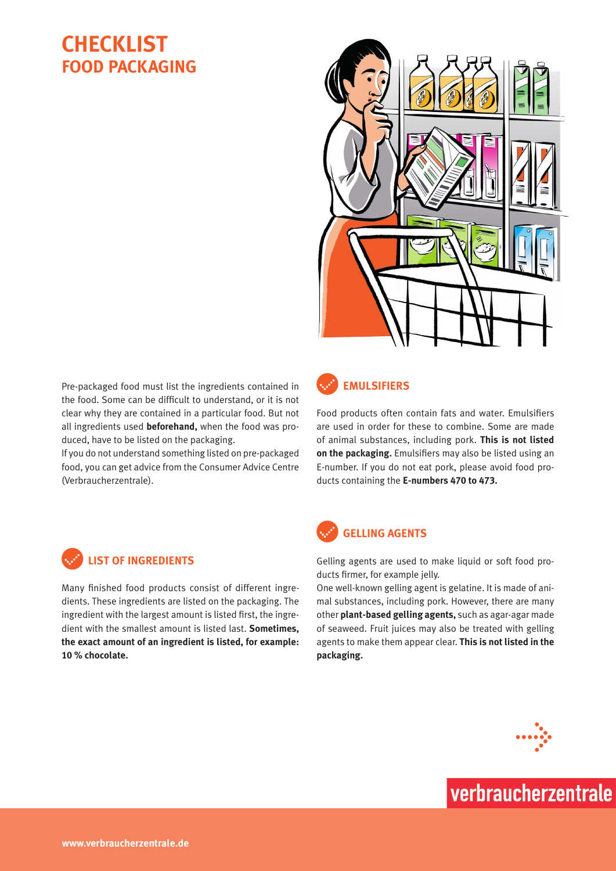# **Checklist Food Packaging**



Pre-packaged food must list the ingredients contained in the food. Some can be difficult to understand, or it is not clear why they are contained in a particular food. But not all ingredients used **beforehand,** when the food was produced, have to be listed on the packaging.

If you do not understand something listed on pre-packaged food, you can get advice from the Consumer Advice Centre (Verbraucherzentrale).



### c**Emulsifiers**

Food products often contain fats and water. Emulsifiers are used in order for these to combine. Some are made of animal substances, including pork. **This is not listed on the packaging.** Emulsifiers may also be listed using an E-number. If you do not eat pork, please avoid food products containing the **E-numbers 470 to 473.**



### c**Gelling agents**

Gelling agents are used to make liquid or soft food products firmer, for example jelly.

One well-known gelling agent is gelatine. It is made of animal substances, including pork. However, there are many other **plant-based gelling agents,** such as agar-agar made of seaweed. Fruit juices may also be treated with gelling agents to make them appear clear. **This is not listed in the packaging.**



verbraucherzentrale



Many finished food products consist of different ingredients. These ingredients are listed on the packaging. The ingredient with the largest amount is listed first, the ingredient with the smallest amount is listed last. **Sometimes, the exact amount of an ingredient is listed, for example: 10 % chocolate.**